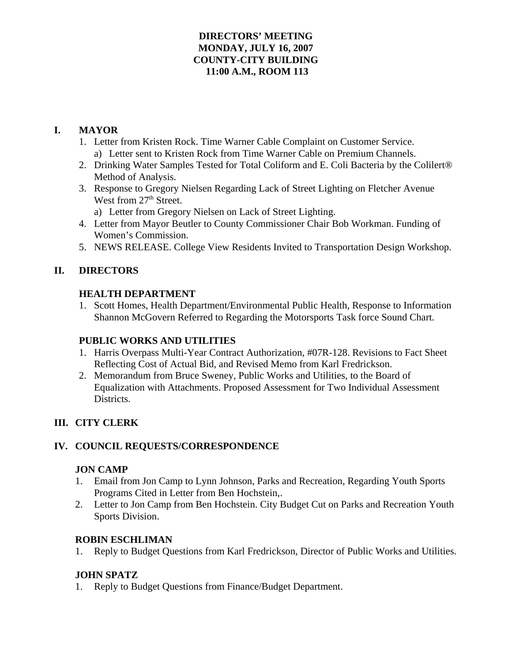## **DIRECTORS' MEETING MONDAY, JULY 16, 2007 COUNTY-CITY BUILDING 11:00 A.M., ROOM 113**

# **I. MAYOR**

- 1. Letter from Kristen Rock. Time Warner Cable Complaint on Customer Service. a) Letter sent to Kristen Rock from Time Warner Cable on Premium Channels.
- 2. Drinking Water Samples Tested for Total Coliform and E. Coli Bacteria by the Colilert® Method of Analysis.
- 3. Response to Gregory Nielsen Regarding Lack of Street Lighting on Fletcher Avenue West from 27<sup>th</sup> Street.
	- a) Letter from Gregory Nielsen on Lack of Street Lighting.
- 4. Letter from Mayor Beutler to County Commissioner Chair Bob Workman. Funding of Women's Commission.
- 5. NEWS RELEASE. College View Residents Invited to Transportation Design Workshop.

# **II. DIRECTORS**

## **HEALTH DEPARTMENT**

1. Scott Homes, Health Department/Environmental Public Health, Response to Information Shannon McGovern Referred to Regarding the Motorsports Task force Sound Chart.

# **PUBLIC WORKS AND UTILITIES**

- 1. Harris Overpass Multi-Year Contract Authorization, #07R-128. Revisions to Fact Sheet Reflecting Cost of Actual Bid, and Revised Memo from Karl Fredrickson.
- 2. Memorandum from Bruce Sweney, Public Works and Utilities, to the Board of Equalization with Attachments. Proposed Assessment for Two Individual Assessment Districts.

# **III. CITY CLERK**

# **IV. COUNCIL REQUESTS/CORRESPONDENCE**

# **JON CAMP**

- 1. Email from Jon Camp to Lynn Johnson, Parks and Recreation, Regarding Youth Sports Programs Cited in Letter from Ben Hochstein,.
- 2. Letter to Jon Camp from Ben Hochstein. City Budget Cut on Parks and Recreation Youth Sports Division.

## **ROBIN ESCHLIMAN**

1. Reply to Budget Questions from Karl Fredrickson, Director of Public Works and Utilities.

# **JOHN SPATZ**

1. Reply to Budget Questions from Finance/Budget Department.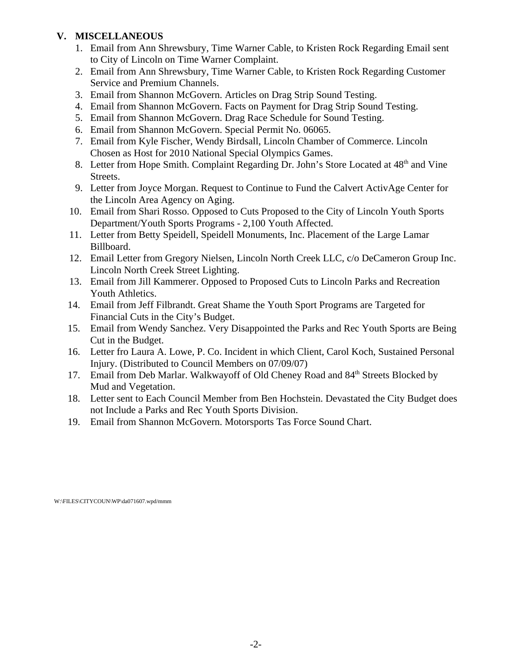## **V. MISCELLANEOUS**

- 1. Email from Ann Shrewsbury, Time Warner Cable, to Kristen Rock Regarding Email sent to City of Lincoln on Time Warner Complaint.
- 2. Email from Ann Shrewsbury, Time Warner Cable, to Kristen Rock Regarding Customer Service and Premium Channels.
- 3. Email from Shannon McGovern. Articles on Drag Strip Sound Testing.
- 4. Email from Shannon McGovern. Facts on Payment for Drag Strip Sound Testing.
- 5. Email from Shannon McGovern. Drag Race Schedule for Sound Testing.
- 6. Email from Shannon McGovern. Special Permit No. 06065.
- 7. Email from Kyle Fischer, Wendy Birdsall, Lincoln Chamber of Commerce. Lincoln Chosen as Host for 2010 National Special Olympics Games.
- 8. Letter from Hope Smith. Complaint Regarding Dr. John's Store Located at 48<sup>th</sup> and Vine Streets.
- 9. Letter from Joyce Morgan. Request to Continue to Fund the Calvert ActivAge Center for the Lincoln Area Agency on Aging.
- 10. Email from Shari Rosso. Opposed to Cuts Proposed to the City of Lincoln Youth Sports Department/Youth Sports Programs - 2,100 Youth Affected.
- 11. Letter from Betty Speidell, Speidell Monuments, Inc. Placement of the Large Lamar Billboard.
- 12. Email Letter from Gregory Nielsen, Lincoln North Creek LLC, c/o DeCameron Group Inc. Lincoln North Creek Street Lighting.
- 13. Email from Jill Kammerer. Opposed to Proposed Cuts to Lincoln Parks and Recreation Youth Athletics.
- 14. Email from Jeff Filbrandt. Great Shame the Youth Sport Programs are Targeted for Financial Cuts in the City's Budget.
- 15. Email from Wendy Sanchez. Very Disappointed the Parks and Rec Youth Sports are Being Cut in the Budget.
- 16. Letter fro Laura A. Lowe, P. Co. Incident in which Client, Carol Koch, Sustained Personal Injury. (Distributed to Council Members on 07/09/07)
- 17. Email from Deb Marlar. Walkwayoff of Old Cheney Road and 84<sup>th</sup> Streets Blocked by Mud and Vegetation.
- 18. Letter sent to Each Council Member from Ben Hochstein. Devastated the City Budget does not Include a Parks and Rec Youth Sports Division.
- 19. Email from Shannon McGovern. Motorsports Tas Force Sound Chart.

W:\FILES\CITYCOUN\WP\da071607.wpd/mmm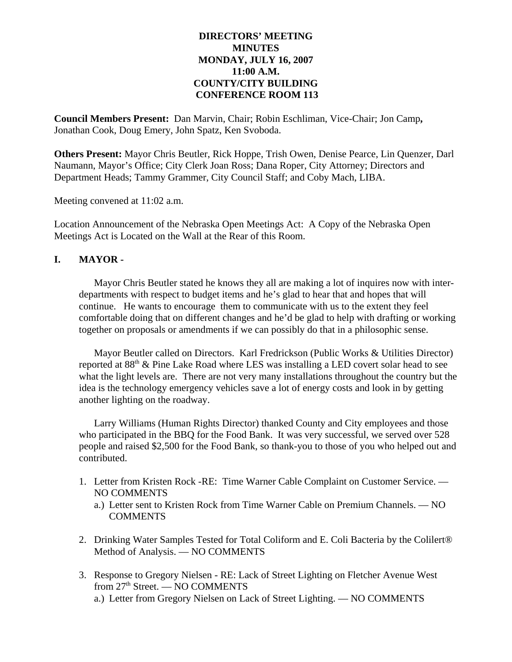### **DIRECTORS' MEETING MINUTES MONDAY, JULY 16, 2007 11:00 A.M. COUNTY/CITY BUILDING CONFERENCE ROOM 113**

**Council Members Present:** Dan Marvin, Chair; Robin Eschliman, Vice-Chair; Jon Camp**,** Jonathan Cook, Doug Emery, John Spatz, Ken Svoboda.

**Others Present:** Mayor Chris Beutler, Rick Hoppe, Trish Owen, Denise Pearce, Lin Quenzer, Darl Naumann, Mayor's Office; City Clerk Joan Ross; Dana Roper, City Attorney; Directors and Department Heads; Tammy Grammer, City Council Staff; and Coby Mach, LIBA.

Meeting convened at 11:02 a.m.

Location Announcement of the Nebraska Open Meetings Act: A Copy of the Nebraska Open Meetings Act is Located on the Wall at the Rear of this Room.

## **I. MAYOR -**

Mayor Chris Beutler stated he knows they all are making a lot of inquires now with interdepartments with respect to budget items and he's glad to hear that and hopes that will continue. He wants to encourage them to communicate with us to the extent they feel comfortable doing that on different changes and he'd be glad to help with drafting or working together on proposals or amendments if we can possibly do that in a philosophic sense.

Mayor Beutler called on Directors. Karl Fredrickson (Public Works & Utilities Director) reported at  $88<sup>th</sup>$  & Pine Lake Road where LES was installing a LED covert solar head to see what the light levels are. There are not very many installations throughout the country but the idea is the technology emergency vehicles save a lot of energy costs and look in by getting another lighting on the roadway.

Larry Williams (Human Rights Director) thanked County and City employees and those who participated in the BBQ for the Food Bank. It was very successful, we served over 528 people and raised \$2,500 for the Food Bank, so thank-you to those of you who helped out and contributed.

- 1. Letter from Kristen Rock -RE: Time Warner Cable Complaint on Customer Service. NO COMMENTS
	- a.) Letter sent to Kristen Rock from Time Warner Cable on Premium Channels. NO **COMMENTS**
- 2. Drinking Water Samples Tested for Total Coliform and E. Coli Bacteria by the Colilert® Method of Analysis. — NO COMMENTS
- 3. Response to Gregory Nielsen RE: Lack of Street Lighting on Fletcher Avenue West from 27<sup>th</sup> Street. — NO COMMENTS a.) Letter from Gregory Nielsen on Lack of Street Lighting. — NO COMMENTS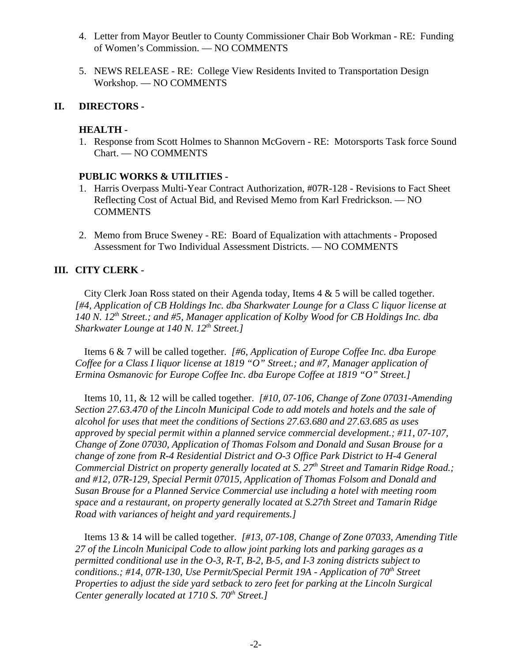- 4. Letter from Mayor Beutler to County Commissioner Chair Bob Workman RE: Funding of Women's Commission. — NO COMMENTS
- 5. NEWS RELEASE RE: College View Residents Invited to Transportation Design Workshop. — NO COMMENTS

#### **II. DIRECTORS -**

#### **HEALTH -**

1. Response from Scott Holmes to Shannon McGovern - RE: Motorsports Task force Sound Chart. — NO COMMENTS

#### **PUBLIC WORKS & UTILITIES -**

- 1. Harris Overpass Multi-Year Contract Authorization, #07R-128 Revisions to Fact Sheet Reflecting Cost of Actual Bid, and Revised Memo from Karl Fredrickson. — NO **COMMENTS**
- 2. Memo from Bruce Sweney RE: Board of Equalization with attachments Proposed Assessment for Two Individual Assessment Districts. — NO COMMENTS

### **III. CITY CLERK -**

City Clerk Joan Ross stated on their Agenda today, Items 4 & 5 will be called together. *[#4, Application of CB Holdings Inc. dba Sharkwater Lounge for a Class C liquor license at 140 N. 12th Street.; and #5, Manager application of Kolby Wood for CB Holdings Inc. dba Sharkwater Lounge at 140 N. 12<sup>th</sup> Street.]* 

Items 6 & 7 will be called together. *[#6, Application of Europe Coffee Inc. dba Europe Coffee for a Class I liquor license at 1819 "O" Street.; and #7, Manager application of Ermina Osmanovic for Europe Coffee Inc. dba Europe Coffee at 1819 "O" Street.]*

Items 10, 11, & 12 will be called together. *[#10, 07-106, Change of Zone 07031-Amending Section 27.63.470 of the Lincoln Municipal Code to add motels and hotels and the sale of alcohol for uses that meet the conditions of Sections 27.63.680 and 27.63.685 as uses approved by special permit within a planned service commercial development.; #11, 07-107, Change of Zone 07030, Application of Thomas Folsom and Donald and Susan Brouse for a change of zone from R-4 Residential District and O-3 Office Park District to H-4 General Commercial District on property generally located at S. 27<sup>th</sup> Street and Tamarin Ridge Road.; and #12, 07R-129, Special Permit 07015, Application of Thomas Folsom and Donald and Susan Brouse for a Planned Service Commercial use including a hotel with meeting room space and a restaurant, on property generally located at S.27th Street and Tamarin Ridge Road with variances of height and yard requirements.]* 

Items 13 & 14 will be called together. *[#13, 07-108, Change of Zone 07033, Amending Title 27 of the Lincoln Municipal Code to allow joint parking lots and parking garages as a permitted conditional use in the O-3, R-T, B-2, B-5, and I-3 zoning districts subject to conditions.; #14, 07R-130, Use Permit/Special Permit 19A - Application of 70<sup>th</sup> Street Properties to adjust the side yard setback to zero feet for parking at the Lincoln Surgical Center generally located at 1710 S. 70<sup>th</sup> Street.1*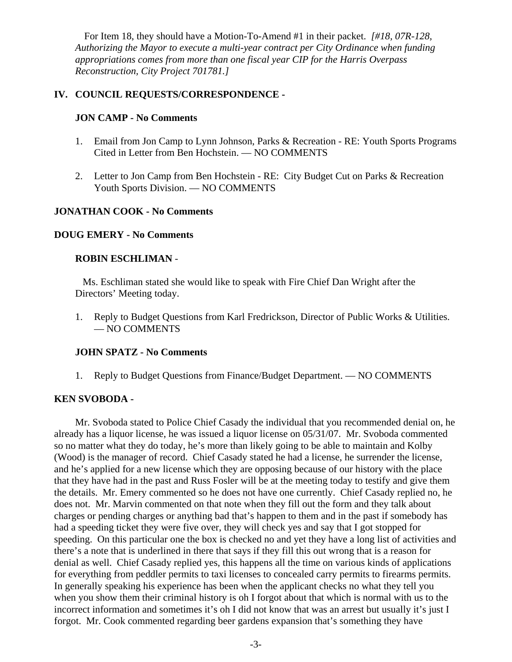For Item 18, they should have a Motion-To-Amend #1 in their packet. *[#18, 07R-128, Authorizing the Mayor to execute a multi-year contract per City Ordinance when funding appropriations comes from more than one fiscal year CIP for the Harris Overpass Reconstruction, City Project 701781.]* 

### **IV. COUNCIL REQUESTS/CORRESPONDENCE -**

#### **JON CAMP - No Comments**

- 1. Email from Jon Camp to Lynn Johnson, Parks & Recreation RE: Youth Sports Programs Cited in Letter from Ben Hochstein. — NO COMMENTS
- 2. Letter to Jon Camp from Ben Hochstein RE: City Budget Cut on Parks & Recreation Youth Sports Division. — NO COMMENTS

#### **JONATHAN COOK - No Comments**

#### **DOUG EMERY - No Comments**

#### **ROBIN ESCHLIMAN** -

Ms. Eschliman stated she would like to speak with Fire Chief Dan Wright after the Directors' Meeting today.

1. Reply to Budget Questions from Karl Fredrickson, Director of Public Works & Utilities. — NO COMMENTS

#### **JOHN SPATZ - No Comments**

1. Reply to Budget Questions from Finance/Budget Department. — NO COMMENTS

#### **KEN SVOBODA -**

Mr. Svoboda stated to Police Chief Casady the individual that you recommended denial on, he already has a liquor license, he was issued a liquor license on 05/31/07. Mr. Svoboda commented so no matter what they do today, he's more than likely going to be able to maintain and Kolby (Wood) is the manager of record. Chief Casady stated he had a license, he surrender the license, and he's applied for a new license which they are opposing because of our history with the place that they have had in the past and Russ Fosler will be at the meeting today to testify and give them the details. Mr. Emery commented so he does not have one currently. Chief Casady replied no, he does not. Mr. Marvin commented on that note when they fill out the form and they talk about charges or pending charges or anything bad that's happen to them and in the past if somebody has had a speeding ticket they were five over, they will check yes and say that I got stopped for speeding. On this particular one the box is checked no and yet they have a long list of activities and there's a note that is underlined in there that says if they fill this out wrong that is a reason for denial as well. Chief Casady replied yes, this happens all the time on various kinds of applications for everything from peddler permits to taxi licenses to concealed carry permits to firearms permits. In generally speaking his experience has been when the applicant checks no what they tell you when you show them their criminal history is oh I forgot about that which is normal with us to the incorrect information and sometimes it's oh I did not know that was an arrest but usually it's just I forgot. Mr. Cook commented regarding beer gardens expansion that's something they have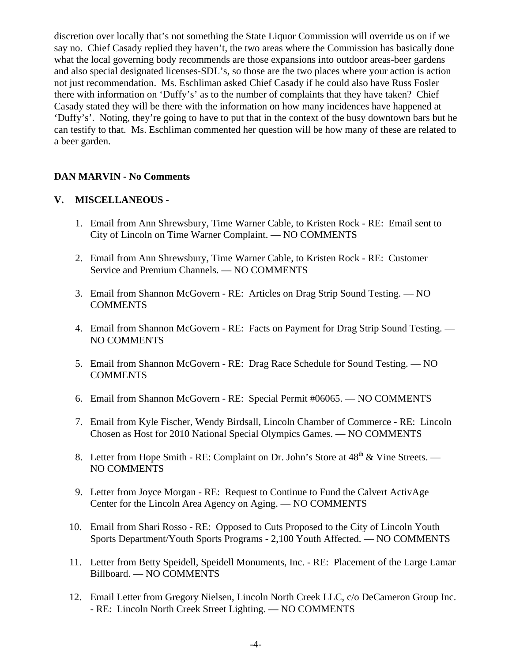discretion over locally that's not something the State Liquor Commission will override us on if we say no. Chief Casady replied they haven't, the two areas where the Commission has basically done what the local governing body recommends are those expansions into outdoor areas-beer gardens and also special designated licenses-SDL's, so those are the two places where your action is action not just recommendation. Ms. Eschliman asked Chief Casady if he could also have Russ Fosler there with information on 'Duffy's' as to the number of complaints that they have taken? Chief Casady stated they will be there with the information on how many incidences have happened at 'Duffy's'. Noting, they're going to have to put that in the context of the busy downtown bars but he can testify to that. Ms. Eschliman commented her question will be how many of these are related to a beer garden.

#### **DAN MARVIN - No Comments**

#### **V. MISCELLANEOUS -**

- 1. Email from Ann Shrewsbury, Time Warner Cable, to Kristen Rock RE: Email sent to City of Lincoln on Time Warner Complaint. — NO COMMENTS
- 2. Email from Ann Shrewsbury, Time Warner Cable, to Kristen Rock RE: Customer Service and Premium Channels. — NO COMMENTS
- 3. Email from Shannon McGovern RE: Articles on Drag Strip Sound Testing. NO **COMMENTS**
- 4. Email from Shannon McGovern RE: Facts on Payment for Drag Strip Sound Testing. NO COMMENTS
- 5. Email from Shannon McGovern RE: Drag Race Schedule for Sound Testing. NO **COMMENTS**
- 6. Email from Shannon McGovern RE: Special Permit #06065. NO COMMENTS
- 7. Email from Kyle Fischer, Wendy Birdsall, Lincoln Chamber of Commerce RE: Lincoln Chosen as Host for 2010 National Special Olympics Games. — NO COMMENTS
- 8. Letter from Hope Smith RE: Complaint on Dr. John's Store at  $48<sup>th</sup>$  & Vine Streets. NO COMMENTS
- 9. Letter from Joyce Morgan RE: Request to Continue to Fund the Calvert ActivAge Center for the Lincoln Area Agency on Aging. — NO COMMENTS
- 10. Email from Shari Rosso RE: Opposed to Cuts Proposed to the City of Lincoln Youth Sports Department/Youth Sports Programs - 2,100 Youth Affected. — NO COMMENTS
- 11. Letter from Betty Speidell, Speidell Monuments, Inc. RE: Placement of the Large Lamar Billboard. — NO COMMENTS
- 12. Email Letter from Gregory Nielsen, Lincoln North Creek LLC, c/o DeCameron Group Inc. - RE: Lincoln North Creek Street Lighting. — NO COMMENTS